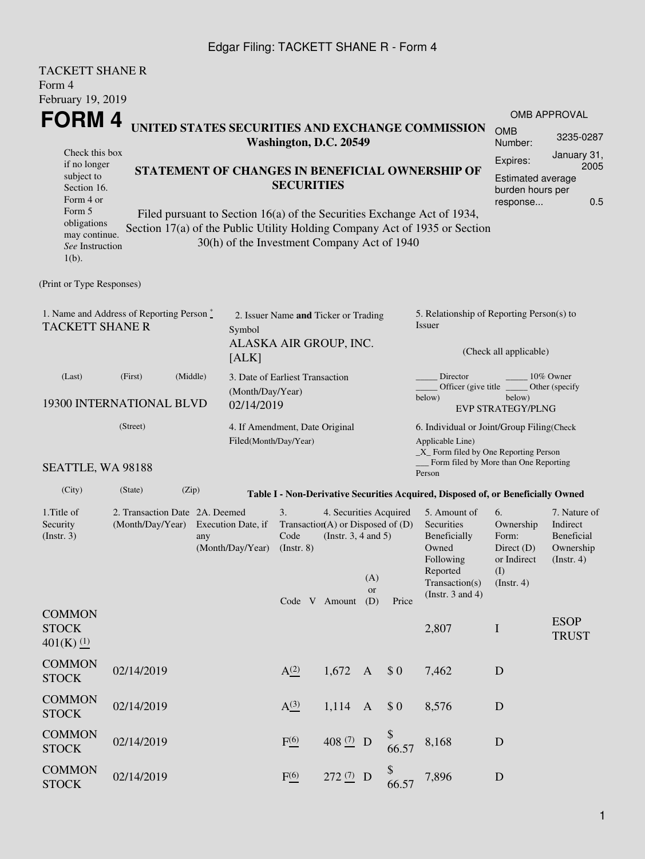## Edgar Filing: TACKETT SHANE R - Form 4

| <b>TACKETT SHANE R</b><br>Form 4<br>February 19, 2019                                                                          |                                             |                                                                                            |                                                         |                  |  |                                                                                                                                                                                                            |                                                                               |                                     |                                                                                                                                                            |                                                                                                                                                          |                             |
|--------------------------------------------------------------------------------------------------------------------------------|---------------------------------------------|--------------------------------------------------------------------------------------------|---------------------------------------------------------|------------------|--|------------------------------------------------------------------------------------------------------------------------------------------------------------------------------------------------------------|-------------------------------------------------------------------------------|-------------------------------------|------------------------------------------------------------------------------------------------------------------------------------------------------------|----------------------------------------------------------------------------------------------------------------------------------------------------------|-----------------------------|
| FORM 4                                                                                                                         |                                             |                                                                                            |                                                         |                  |  |                                                                                                                                                                                                            |                                                                               |                                     |                                                                                                                                                            |                                                                                                                                                          | <b>OMB APPROVAL</b>         |
|                                                                                                                                |                                             |                                                                                            |                                                         |                  |  | Washington, D.C. 20549                                                                                                                                                                                     |                                                                               |                                     | UNITED STATES SECURITIES AND EXCHANGE COMMISSION                                                                                                           | <b>OMB</b><br>Number:                                                                                                                                    | 3235-0287                   |
| Check this box<br>if no longer                                                                                                 |                                             |                                                                                            |                                                         |                  |  |                                                                                                                                                                                                            |                                                                               |                                     |                                                                                                                                                            | Expires:                                                                                                                                                 | January 31,<br>2005         |
| subject to<br>Section 16.<br>Form 4 or<br>Form 5<br>obligations<br>may continue.<br>See Instruction<br>$1(b)$ .                | 30(h) of the Investment Company Act of 1940 | <b>SECURITIES</b>                                                                          |                                                         |                  |  | STATEMENT OF CHANGES IN BENEFICIAL OWNERSHIP OF<br>Filed pursuant to Section $16(a)$ of the Securities Exchange Act of 1934,<br>Section 17(a) of the Public Utility Holding Company Act of 1935 or Section | <b>Estimated average</b><br>burden hours per<br>response                      | 0.5                                 |                                                                                                                                                            |                                                                                                                                                          |                             |
| (Print or Type Responses)                                                                                                      |                                             |                                                                                            |                                                         |                  |  |                                                                                                                                                                                                            |                                                                               |                                     |                                                                                                                                                            |                                                                                                                                                          |                             |
| 1. Name and Address of Reporting Person $\stackrel{*}{\mathbb{L}}$<br><b>TACKETT SHANE R</b>                                   | Symbol<br>[ALK]                             | 2. Issuer Name and Ticker or Trading<br>ALASKA AIR GROUP, INC.                             |                                                         |                  |  |                                                                                                                                                                                                            | 5. Relationship of Reporting Person(s) to<br>Issuer<br>(Check all applicable) |                                     |                                                                                                                                                            |                                                                                                                                                          |                             |
| (Last)<br>(First)<br>(Middle)<br>3. Date of Earliest Transaction<br>(Month/Day/Year)<br>19300 INTERNATIONAL BLVD<br>02/14/2019 |                                             |                                                                                            |                                                         |                  |  |                                                                                                                                                                                                            |                                                                               |                                     | Director<br>10% Owner<br>Officer (give title $\overline{\phantom{a}}$<br>Other (specify<br>below)<br>below)<br><b>EVP STRATEGY/PLNG</b>                    |                                                                                                                                                          |                             |
| SEATTLE, WA 98188                                                                                                              | (Street)                                    |                                                                                            | 4. If Amendment, Date Original<br>Filed(Month/Day/Year) |                  |  |                                                                                                                                                                                                            |                                                                               |                                     | 6. Individual or Joint/Group Filing(Check<br>Applicable Line)<br>_X_ Form filed by One Reporting Person<br>Form filed by More than One Reporting<br>Person |                                                                                                                                                          |                             |
| (City)                                                                                                                         | (State)                                     | (Zip)                                                                                      |                                                         |                  |  |                                                                                                                                                                                                            |                                                                               |                                     | Table I - Non-Derivative Securities Acquired, Disposed of, or Beneficially Owned                                                                           |                                                                                                                                                          |                             |
| 1. Title of<br>Security<br>(Insert. 3)                                                                                         | (Month/Day/Year)                            | 2. Transaction Date 2A. Deemed<br>Execution Date, if<br>any<br>(Month/Day/Year) (Instr. 8) |                                                         |                  |  | 4. Securities Acquired<br>Transaction(A) or Disposed of $(D)$<br>(Instr. $3, 4$ and $5$ )<br>Code V Amount                                                                                                 | (A)<br><b>or</b><br>(D)                                                       | Price                               | 5. Amount of<br>Securities<br>Beneficially<br>Owned<br>Following<br>Reported<br>Transaction(s)<br>(Instr. $3$ and $4$ )                                    | 6.<br>7. Nature of<br>Ownership<br>Indirect<br>Form:<br><b>Beneficial</b><br>Direct (D)<br>Ownership<br>or Indirect<br>(Insert. 4)<br>(I)<br>(Insert. 4) |                             |
| <b>COMMON</b><br><b>STOCK</b><br>$401(K)$ (1)                                                                                  |                                             |                                                                                            |                                                         |                  |  |                                                                                                                                                                                                            |                                                                               |                                     | 2,807                                                                                                                                                      | $\mathbf I$                                                                                                                                              | <b>ESOP</b><br><b>TRUST</b> |
| <b>COMMON</b><br><b>STOCK</b>                                                                                                  | 02/14/2019                                  |                                                                                            |                                                         | A <sup>(2)</sup> |  | 1,672                                                                                                                                                                                                      | $\mathbf{A}$                                                                  | \$0                                 | 7,462                                                                                                                                                      | D                                                                                                                                                        |                             |
| <b>COMMON</b><br><b>STOCK</b>                                                                                                  | 02/14/2019                                  |                                                                                            |                                                         | A <sup>(3)</sup> |  | 1,114                                                                                                                                                                                                      | $\mathbf{A}$                                                                  | \$0                                 | 8,576                                                                                                                                                      | D                                                                                                                                                        |                             |
| <b>COMMON</b><br><b>STOCK</b>                                                                                                  | 02/14/2019                                  |                                                                                            |                                                         | F(6)             |  | 408 $(7)$ D                                                                                                                                                                                                |                                                                               | $\boldsymbol{\mathsf{\$}}$<br>66.57 | 8,168                                                                                                                                                      | D                                                                                                                                                        |                             |
| <b>COMMON</b><br><b>STOCK</b>                                                                                                  | 02/14/2019                                  |                                                                                            |                                                         | F(6)             |  | $272 (7)$ D                                                                                                                                                                                                |                                                                               | \$<br>66.57                         | 7,896                                                                                                                                                      | $\mathbf D$                                                                                                                                              |                             |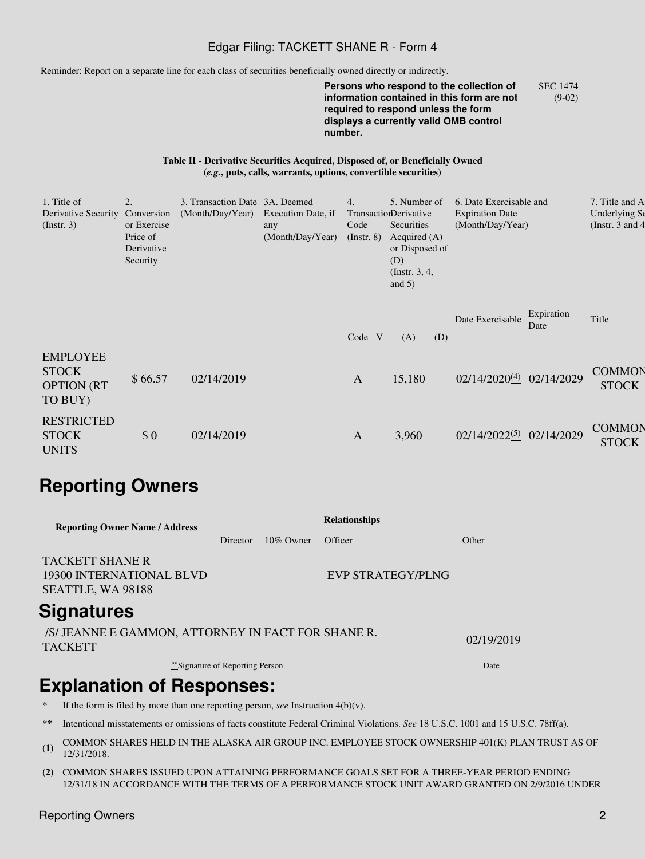### Edgar Filing: TACKETT SHANE R - Form 4

Reminder: Report on a separate line for each class of securities beneficially owned directly or indirectly.

**Persons who respond to the collection of information contained in this form are not required to respond unless the form displays a currently valid OMB control number.** SEC 1474 (9-02)

#### **Table II - Derivative Securities Acquired, Disposed of, or Beneficially Owned (***e.g.***, puts, calls, warrants, options, convertible securities)**

| 1. Title of<br>Derivative Security<br>$($ Instr. 3 $)$          | 2.<br>Conversion<br>or Exercise<br>Price of<br>Derivative<br>Security | 3. Transaction Date 3A. Deemed<br>(Month/Day/Year) | Execution Date, if<br>any<br>(Month/Day/Year) | 4.<br>Code<br>$($ Instr. $8)$ | 5. Number of<br>TransactionDerivative<br>Securities<br>Acquired $(A)$<br>or Disposed of<br>(D)<br>(Instr. $3, 4,$<br>and $5)$ | 6. Date Exercisable and<br><b>Expiration Date</b><br>(Month/Day/Year) |                    | 7. Title and A<br>Underlying Se<br>(Instr. $3$ and $4$ |
|-----------------------------------------------------------------|-----------------------------------------------------------------------|----------------------------------------------------|-----------------------------------------------|-------------------------------|-------------------------------------------------------------------------------------------------------------------------------|-----------------------------------------------------------------------|--------------------|--------------------------------------------------------|
|                                                                 |                                                                       |                                                    |                                               | Code V                        | (A)<br>(D)                                                                                                                    | Date Exercisable                                                      | Expiration<br>Date | Title                                                  |
| <b>EMPLOYEE</b><br><b>STOCK</b><br><b>OPTION (RT</b><br>TO BUY) | \$66.57                                                               | 02/14/2019                                         |                                               | A                             | 15,180                                                                                                                        | 02/14/2020(4) 02/14/2029                                              |                    | <b>COMMON</b><br><b>STOCK</b>                          |
| <b>RESTRICTED</b><br><b>STOCK</b><br><b>UNITS</b>               | \$0                                                                   | 02/14/2019                                         |                                               | $\mathbf{A}$                  | 3,960                                                                                                                         | 02/14/2022(5) 02/14/2029                                              |                    | <b>COMMON</b><br><b>STOCK</b>                          |

# **Reporting Owners**

| <b>Reporting Owner Name / Address</b>                                   |          |              | <b>Relationships</b>     |       |  |  |  |
|-------------------------------------------------------------------------|----------|--------------|--------------------------|-------|--|--|--|
|                                                                         | Director | $10\%$ Owner | Officer                  | Other |  |  |  |
| <b>TACKETT SHANE R</b><br>19300 INTERNATIONAL BLVD<br>SEATTLE, WA 98188 |          |              | <b>EVP STRATEGY/PLNG</b> |       |  |  |  |
| <b>Signatures</b>                                                       |          |              |                          |       |  |  |  |

/S/ JEANNE E GAMMON, ATTORNEY IN FACT FOR SHANE R. TACKETT 02/19/2019

\*\*Signature of Reporting Person Date by the United States of Date Date

# **Explanation of Responses:**

- If the form is filed by more than one reporting person, *see* Instruction  $4(b)(v)$ .
- **\*\*** Intentional misstatements or omissions of facts constitute Federal Criminal Violations. *See* 18 U.S.C. 1001 and 15 U.S.C. 78ff(a).
- **(1)** COMMON SHARES HELD IN THE ALASKA AIR GROUP INC. EMPLOYEE STOCK OWNERSHIP 401(K) PLAN TRUST AS OF 12/31/2018.
- **(2)** COMMON SHARES ISSUED UPON ATTAINING PERFORMANCE GOALS SET FOR A THREE-YEAR PERIOD ENDING 12/31/18 IN ACCORDANCE WITH THE TERMS OF A PERFORMANCE STOCK UNIT AWARD GRANTED ON 2/9/2016 UNDER